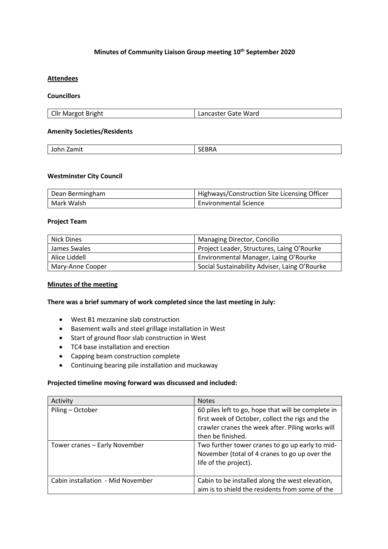# **Minutes of Community Liaison Group meeting 10th September 2020**

# **Attendees**

### **Councillors**

| Cllr Margot Bright | Lancaster Gate Ward |
|--------------------|---------------------|

## **Amenity Societies/Residents**

| Zamit   |      |
|---------|------|
| .       | 'י י |
| $- - -$ | ---- |
|         |      |

### **Westminster City Council**

| Dean Bermingham | Highways/Construction Site Licensing Officer |
|-----------------|----------------------------------------------|
| Mark Walsh      | <b>Environmental Science</b>                 |

## **Project Team**

| Nick Dines       | Managing Director, Concilio                   |
|------------------|-----------------------------------------------|
| James Swales     | Project Leader, Structures, Laing O'Rourke    |
| Alice Liddell    | Environmental Manager, Laing O'Rourke         |
| Mary-Anne Cooper | Social Sustainability Adviser, Laing O'Rourke |

# **Minutes of the meeting**

### **There was a brief summary of work completed since the last meeting in July:**

- West B1 mezzanine slab construction
- Basement walls and steel grillage installation in West
- Start of ground floor slab construction in West
- TC4 base installation and erection
- Capping beam construction complete
- Continuing bearing pile installation and muckaway

### **Projected timeline moving forward was discussed and included:**

| Activity                          | <b>Notes</b>                                                                                                                                                                   |
|-----------------------------------|--------------------------------------------------------------------------------------------------------------------------------------------------------------------------------|
| Piling - October                  | 60 piles left to go, hope that will be complete in<br>first week of October, collect the rigs and the<br>crawler cranes the week after. Piling works will<br>then be finished. |
| Tower cranes - Early November     | Two further tower cranes to go up early to mid-<br>November (total of 4 cranes to go up over the<br>life of the project).                                                      |
| Cabin installation - Mid November | Cabin to be installed along the west elevation,<br>aim is to shield the residents from some of the                                                                             |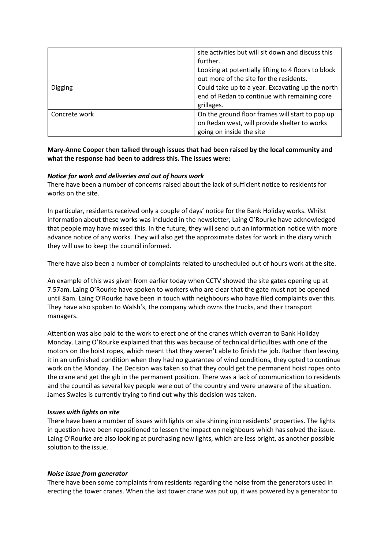|                | site activities but will sit down and discuss this  |
|----------------|-----------------------------------------------------|
|                | further.                                            |
|                | Looking at potentially lifting to 4 floors to block |
|                | out more of the site for the residents.             |
| <b>Digging</b> | Could take up to a year. Excavating up the north    |
|                | end of Redan to continue with remaining core        |
|                | grillages.                                          |
| Concrete work  | On the ground floor frames will start to pop up     |
|                | on Redan west, will provide shelter to works        |
|                | going on inside the site                            |

# **Mary-Anne Cooper then talked through issues that had been raised by the local community and what the response had been to address this. The issues were:**

# *Notice for work and deliveries and out of hours work*

There have been a number of concerns raised about the lack of sufficient notice to residents for works on the site.

In particular, residents received only a couple of days' notice for the Bank Holiday works. Whilst information about these works was included in the newsletter, Laing O'Rourke have acknowledged that people may have missed this. In the future, they will send out an information notice with more advance notice of any works. They will also get the approximate dates for work in the diary which they will use to keep the council informed.

There have also been a number of complaints related to unscheduled out of hours work at the site.

An example of this was given from earlier today when CCTV showed the site gates opening up at 7.57am. Laing O'Rourke have spoken to workers who are clear that the gate must not be opened until 8am. Laing O'Rourke have been in touch with neighbours who have filed complaints over this. They have also spoken to Walsh's, the company which owns the trucks, and their transport managers.

Attention was also paid to the work to erect one of the cranes which overran to Bank Holiday Monday. Laing O'Rourke explained that this was because of technical difficulties with one of the motors on the hoist ropes, which meant that they weren't able to finish the job. Rather than leaving it in an unfinished condition when they had no guarantee of wind conditions, they opted to continue work on the Monday. The Decision was taken so that they could get the permanent hoist ropes onto the crane and get the gib in the permanent position. There was a lack of communication to residents and the council as several key people were out of the country and were unaware of the situation. James Swales is currently trying to find out why this decision was taken.

# *Issues with lights on site*

There have been a number of issues with lights on site shining into residents' properties. The lights in question have been repositioned to lessen the impact on neighbours which has solved the issue. Laing O'Rourke are also looking at purchasing new lights, which are less bright, as another possible solution to the issue.

# *Noise issue from generator*

There have been some complaints from residents regarding the noise from the generators used in erecting the tower cranes. When the last tower crane was put up, it was powered by a generator to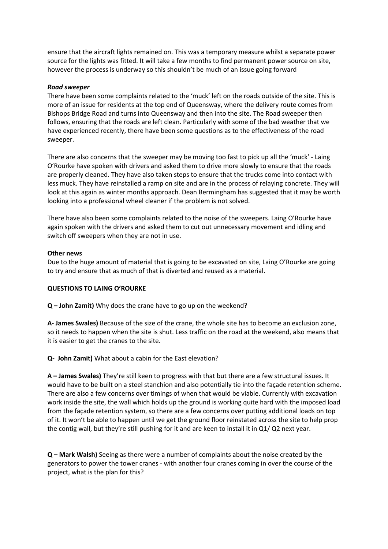ensure that the aircraft lights remained on. This was a temporary measure whilst a separate power source for the lights was fitted. It will take a few months to find permanent power source on site, however the process is underway so this shouldn't be much of an issue going forward

### *Road sweeper*

There have been some complaints related to the 'muck' left on the roads outside of the site. This is more of an issue for residents at the top end of Queensway, where the delivery route comes from Bishops Bridge Road and turns into Queensway and then into the site. The Road sweeper then follows, ensuring that the roads are left clean. Particularly with some of the bad weather that we have experienced recently, there have been some questions as to the effectiveness of the road sweeper.

There are also concerns that the sweeper may be moving too fast to pick up all the 'muck' - Laing O'Rourke have spoken with drivers and asked them to drive more slowly to ensure that the roads are properly cleaned. They have also taken steps to ensure that the trucks come into contact with less muck. They have reinstalled a ramp on site and are in the process of relaying concrete. They will look at this again as winter months approach. Dean Bermingham has suggested that it may be worth looking into a professional wheel cleaner if the problem is not solved.

There have also been some complaints related to the noise of the sweepers. Laing O'Rourke have again spoken with the drivers and asked them to cut out unnecessary movement and idling and switch off sweepers when they are not in use.

#### **Other news**

Due to the huge amount of material that is going to be excavated on site, Laing O'Rourke are going to try and ensure that as much of that is diverted and reused as a material.

#### **QUESTIONS TO LAING O'ROURKE**

**Q – John Zamit)** Why does the crane have to go up on the weekend?

**A- James Swales)** Because of the size of the crane, the whole site has to become an exclusion zone, so it needs to happen when the site is shut. Less traffic on the road at the weekend, also means that it is easier to get the cranes to the site.

**Q- John Zamit)** What about a cabin for the East elevation?

**A – James Swales)** They're still keen to progress with that but there are a few structural issues. It would have to be built on a steel stanchion and also potentially tie into the façade retention scheme. There are also a few concerns over timings of when that would be viable. Currently with excavation work inside the site, the wall which holds up the ground is working quite hard with the imposed load from the façade retention system, so there are a few concerns over putting additional loads on top of it. It won't be able to happen until we get the ground floor reinstated across the site to help prop the contig wall, but they're still pushing for it and are keen to install it in Q1/ Q2 next year.

**Q – Mark Walsh)** Seeing as there were a number of complaints about the noise created by the generators to power the tower cranes - with another four cranes coming in over the course of the project, what is the plan for this?